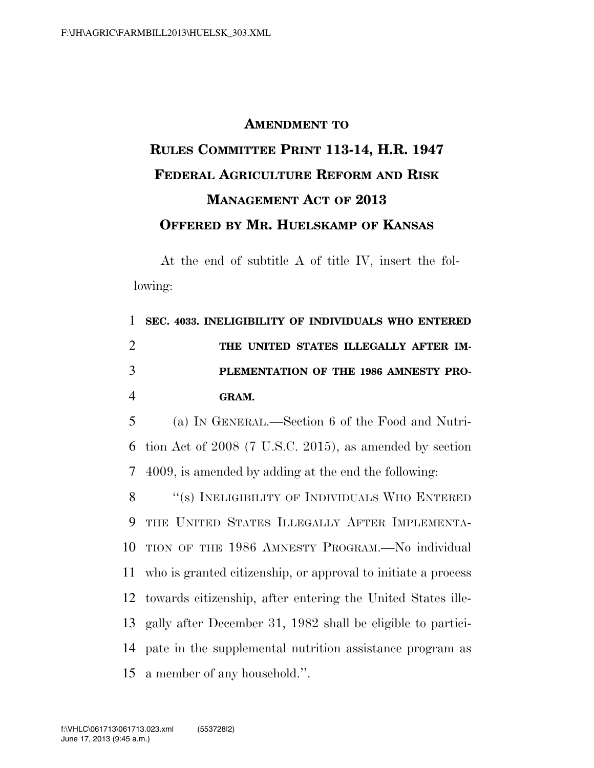## **AMENDMENT TO RULES COMMITTEE PRINT 113-14, H.R. 1947 FEDERAL AGRICULTURE REFORM AND RISK MANAGEMENT ACT OF 2013 OFFERED BY MR. HUELSKAMP OF KANSAS**

At the end of subtitle A of title IV, insert the following:

 **SEC. 4033. INELIGIBILITY OF INDIVIDUALS WHO ENTERED THE UNITED STATES ILLEGALLY AFTER IM- PLEMENTATION OF THE 1986 AMNESTY PRO-**4 **GRAM.** 

5 (a) IN GENERAL.—Section 6 of the Food and Nutri-6 tion Act of 2008 (7 U.S.C. 2015), as amended by section 7 4009, is amended by adding at the end the following:

8 "(s) INELIGIBILITY OF INDIVIDUALS WHO ENTERED THE UNITED STATES ILLEGALLY AFTER IMPLEMENTA- TION OF THE 1986 AMNESTY PROGRAM.—No individual who is granted citizenship, or approval to initiate a process towards citizenship, after entering the United States ille- gally after December 31, 1982 shall be eligible to partici- pate in the supplemental nutrition assistance program as a member of any household.''.